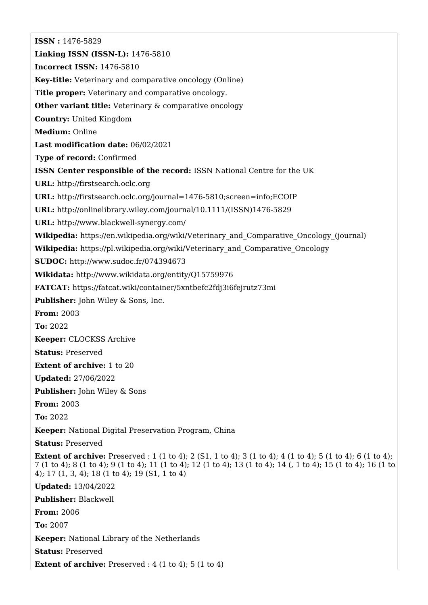**ISSN :** 1476-5829 **Linking ISSN (ISSN-L):** 1476-5810 **Incorrect ISSN:** 1476-5810 **Key-title:** Veterinary and comparative oncology (Online) **Title proper:** Veterinary and comparative oncology. **Other variant title:** Veterinary & comparative oncology **Country:** United Kingdom **Medium:** Online **Last modification date:** 06/02/2021 **Type of record:** Confirmed **ISSN Center responsible of the record:** ISSN National Centre for the UK **URL:** <http://firstsearch.oclc.org> **URL:** <http://firstsearch.oclc.org/journal=1476-5810;screen=info;ECOIP> **URL:** [http://onlinelibrary.wiley.com/journal/10.1111/\(ISSN\)1476-5829](http://onlinelibrary.wiley.com/journal/10.1111/(ISSN)1476-5829) **URL:** <http://www.blackwell-synergy.com/> **Wikipedia:** [https://en.wikipedia.org/wiki/Veterinary\\_and\\_Comparative\\_Oncology\\_\(journal\)](https://en.wikipedia.org/wiki/Veterinary_and_Comparative_Oncology_(journal)) Wikipedia: [https://pl.wikipedia.org/wiki/Veterinary\\_and\\_Comparative\\_Oncology](https://pl.wikipedia.org/wiki/Veterinary_and_Comparative_Oncology) **SUDOC:** <http://www.sudoc.fr/074394673> **Wikidata:** <http://www.wikidata.org/entity/Q15759976> **FATCAT:** <https://fatcat.wiki/container/5xntbefc2fdj3i6fejrutz73mi> **Publisher:** John Wiley & Sons, Inc. **From:** 2003 **To:** 2022 **Keeper:** CLOCKSS Archive **Status:** Preserved **Extent of archive:** 1 to 20 **Updated:** 27/06/2022 **Publisher:** John Wiley & Sons **From:** 2003 **To:** 2022 **Keeper:** National Digital Preservation Program, China **Status:** Preserved **Extent of archive:** Preserved : 1 (1 to 4); 2 (S1, 1 to 4); 3 (1 to 4); 4 (1 to 4); 5 (1 to 4); 6 (1 to 4); 7 (1 to 4); 8 (1 to 4); 9 (1 to 4); 11 (1 to 4); 12 (1 to 4); 13 (1 to 4); 14 (, 1 to 4); 15 (1 to 4); 16 (1 to 4); 17 (1, 3, 4); 18 (1 to 4); 19 (S1, 1 to 4) **Updated:** 13/04/2022 **Publisher:** Blackwell **From:** 2006 **To:** 2007 **Keeper:** National Library of the Netherlands **Status:** Preserved **Extent of archive:** Preserved : 4 (1 to 4); 5 (1 to 4)